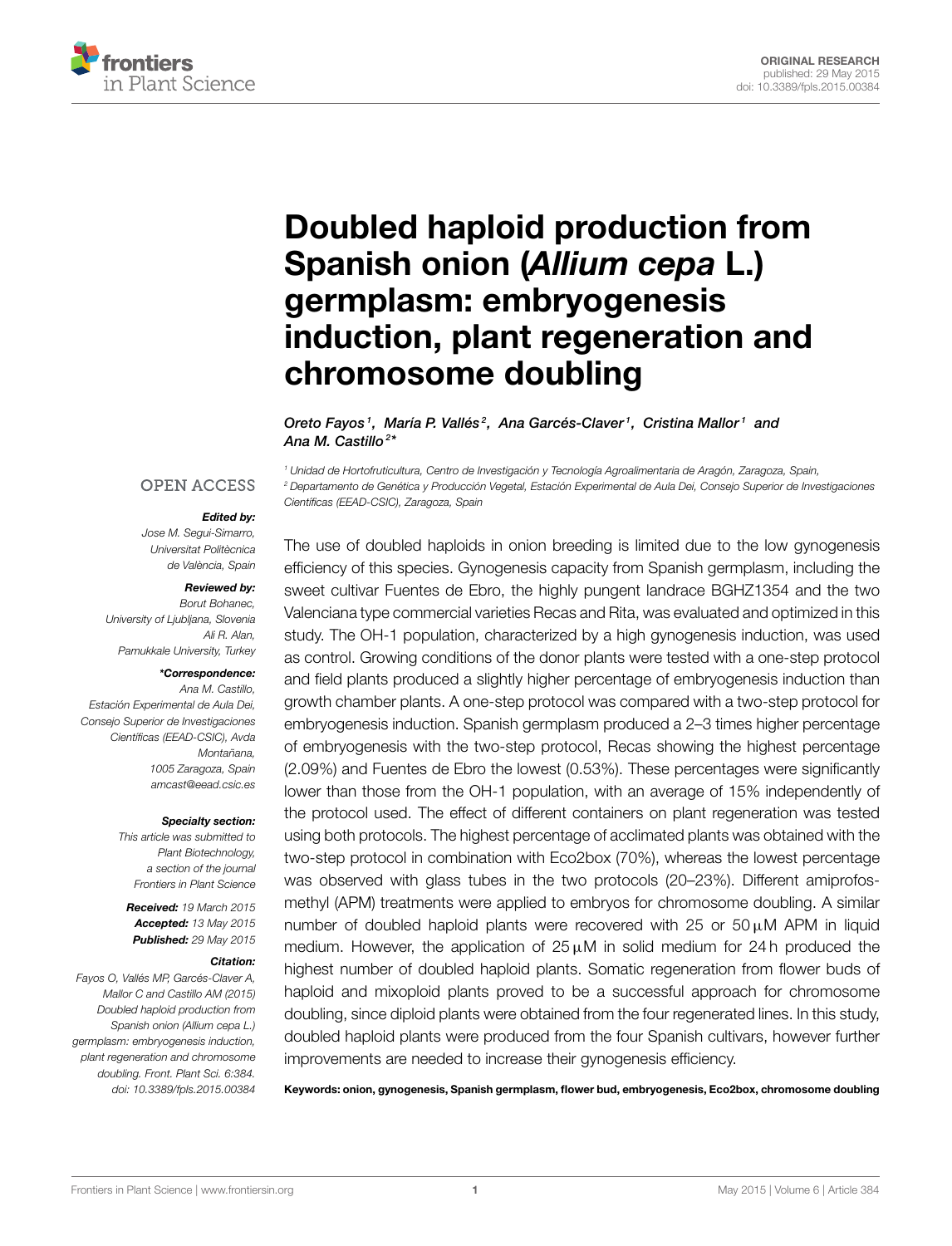

# Doubled haploid production from Spanish onion (Allium cepa L.) germplasm: embryogenesis [induction, plant regeneration and](http://journal.frontiersin.org/article/10.3389/fpls.2015.00384/abstract) chromosome doubling

[Oreto Fayos](http://community.frontiersin.org/people/u/226729)1, [María P. Vallés](http://community.frontiersin.org/people/u/224818)<sup>2</sup>, [Ana Garcés-Claver](http://community.frontiersin.org/people/u/226727)1, Cristina Mallor1 and [Ana M. Castillo](http://community.frontiersin.org/people/u/200845)<sup>2\*</sup>

<sup>1</sup> Unidad de Hortofruticultura, Centro de Investigación y Tecnología Agroalimentaria de Aragón, Zaragoza, Spain,

<sup>2</sup> Departamento de Genética y Producción Vegetal, Estación Experimental de Aula Dei, Consejo Superior de Investigaciones

#### **OPEN ACCESS**

#### Edited by:

Científicas (EEAD-CSIC), Zaragoza, Spain

Jose M. Segui-Simarro, Universitat Politècnica de València, Spain

#### Reviewed by:

Borut Bohanec, University of Ljubljana, Slovenia Ali R. Alan, Pamukkale University, Turkey

#### \*Correspondence:

Ana M. Castillo, Estación Experimental de Aula Dei, Consejo Superior de Investigaciones Científicas (EEAD-CSIC), Avda Montañana, 1005 Zaragoza, Spain [amcast@eead.csic.es](mailto:amcast@eead.csic.es)

#### Specialty section:

This article was submitted to Plant Biotechnology, a section of the journal Frontiers in Plant Science

Received: 19 March 2015 Accepted: 13 May 2015 Published: 29 May 2015

#### Citation:

Fayos O, Vallés MP, Garcés-Claver A, Mallor C and Castillo AM (2015) Doubled haploid production from Spanish onion (Allium cepa L.) germplasm: embryogenesis induction, plant regeneration and chromosome doubling. Front. Plant Sci. 6:384. doi: [10.3389/fpls.2015.00384](http://dx.doi.org/10.3389/fpls.2015.00384) The use of doubled haploids in onion breeding is limited due to the low gynogenesis efficiency of this species. Gynogenesis capacity from Spanish germplasm, including the sweet cultivar Fuentes de Ebro, the highly pungent landrace BGHZ1354 and the two Valenciana type commercial varieties Recas and Rita, was evaluated and optimized in this study. The OH-1 population, characterized by a high gynogenesis induction, was used as control. Growing conditions of the donor plants were tested with a one-step protocol and field plants produced a slightly higher percentage of embryogenesis induction than growth chamber plants. A one-step protocol was compared with a two-step protocol for embryogenesis induction. Spanish germplasm produced a 2–3 times higher percentage of embryogenesis with the two-step protocol, Recas showing the highest percentage (2.09%) and Fuentes de Ebro the lowest (0.53%). These percentages were significantly lower than those from the OH-1 population, with an average of 15% independently of the protocol used. The effect of different containers on plant regeneration was tested using both protocols. The highest percentage of acclimated plants was obtained with the two-step protocol in combination with Eco2box (70%), whereas the lowest percentage was observed with glass tubes in the two protocols (20–23%). Different amiprofosmethyl (APM) treatments were applied to embryos for chromosome doubling. A similar number of doubled haploid plants were recovered with 25 or  $50 \mu M$  APM in liquid medium. However, the application of  $25 \mu M$  in solid medium for 24 h produced the highest number of doubled haploid plants. Somatic regeneration from flower buds of haploid and mixoploid plants proved to be a successful approach for chromosome doubling, since diploid plants were obtained from the four regenerated lines. In this study, doubled haploid plants were produced from the four Spanish cultivars, however further improvements are needed to increase their gynogenesis efficiency.

Keywords: onion, gynogenesis, Spanish germplasm, flower bud, embryogenesis, Eco2box, chromosome doubling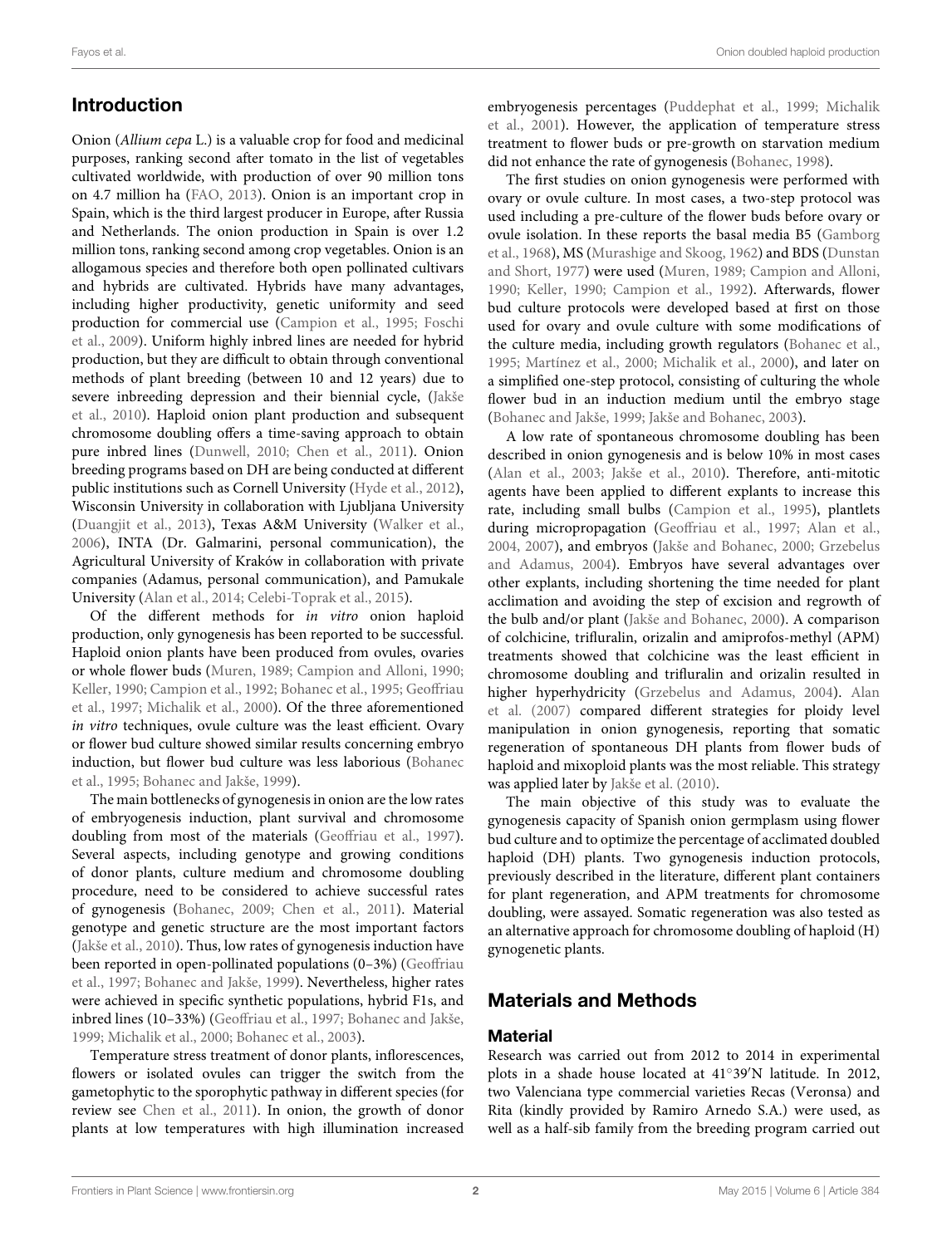#### Fayos et al. Onion doubled haploid production

# Introduction

Onion (Allium cepa L.) is a valuable crop for food and medicinal purposes, ranking second after tomato in the list of vegetables cultivated worldwide, with production of over 90 million tons on 4.7 million ha [\(FAO, 2013\)](#page-9-0). Onion is an important crop in Spain, which is the third largest producer in Europe, after Russia and Netherlands. The onion production in Spain is over 1.2 million tons, ranking second among crop vegetables. Onion is an allogamous species and therefore both open pollinated cultivars and hybrids are cultivated. Hybrids have many advantages, including higher productivity, genetic uniformity and seed production for commercial use [\(Campion et al., 1995;](#page-9-1) Foschi et al., [2009\)](#page-9-2). Uniform highly inbred lines are needed for hybrid production, but they are difficult to obtain through conventional methods of plant breeding (between 10 and 12 years) due to severe inbreeding depression and their biennial cycle, (Jakše et al., [2010\)](#page-10-0). Haploid onion plant production and subsequent chromosome doubling offers a time-saving approach to obtain pure inbred lines [\(Dunwell, 2010;](#page-9-3) [Chen et al., 2011\)](#page-9-4). Onion breeding programs based on DH are being conducted at different public institutions such as Cornell University [\(Hyde et al., 2012\)](#page-10-1), Wisconsin University in collaboration with Ljubljana University [\(Duangjit et al., 2013\)](#page-9-5), Texas A&M University [\(Walker et al.,](#page-10-2) [2006\)](#page-10-2), INTA (Dr. Galmarini, personal communication), the Agricultural University of Kraków in collaboration with private companies (Adamus, personal communication), and Pamukale University [\(Alan et al., 2014;](#page-9-6) [Celebi-Toprak et al., 2015\)](#page-9-7).

Of the different methods for in vitro onion haploid production, only gynogenesis has been reported to be successful. Haploid onion plants have been produced from ovules, ovaries or whole flower buds [\(Muren, 1989;](#page-10-3) [Campion and Alloni, 1990;](#page-9-8) [Keller, 1990;](#page-10-4) [Campion et al., 1992;](#page-9-9) [Bohanec et al., 1995;](#page-9-10) Geoffriau et al., [1997;](#page-9-11) [Michalik et al., 2000\)](#page-10-5). Of the three aforementioned in vitro techniques, ovule culture was the least efficient. Ovary or flower bud culture showed similar results concerning embryo induction, but flower bud culture was less laborious (Bohanec et al., [1995;](#page-9-10) [Bohanec and Jakše, 1999\)](#page-9-12).

The main bottlenecks of gynogenesis in onion are the low rates of embryogenesis induction, plant survival and chromosome doubling from most of the materials [\(Geoffriau et al., 1997\)](#page-9-11). Several aspects, including genotype and growing conditions of donor plants, culture medium and chromosome doubling procedure, need to be considered to achieve successful rates of gynogenesis [\(Bohanec, 2009;](#page-9-13) [Chen et al., 2011\)](#page-9-4). Material genotype and genetic structure are the most important factors [\(Jakše et al., 2010\)](#page-10-0). Thus, low rates of gynogenesis induction have been reported in open-pollinated populations (0–3%) (Geoffriau et al., [1997;](#page-9-11) [Bohanec and Jakše, 1999\)](#page-9-12). Nevertheless, higher rates were achieved in specific synthetic populations, hybrid F1s, and inbred lines (10–33%) [\(Geoffriau et al., 1997;](#page-9-11) [Bohanec and Jakše,](#page-9-12) [1999;](#page-9-12) [Michalik et al., 2000;](#page-10-5) [Bohanec et al., 2003\)](#page-9-14).

Temperature stress treatment of donor plants, inflorescences, flowers or isolated ovules can trigger the switch from the gametophytic to the sporophytic pathway in different species (for review see [Chen et al., 2011\)](#page-9-4). In onion, the growth of donor plants at low temperatures with high illumination increased embryogenesis percentages [\(Puddephat et al., 1999;](#page-10-6) Michalik et al., [2001\)](#page-10-7). However, the application of temperature stress treatment to flower buds or pre-growth on starvation medium did not enhance the rate of gynogenesis [\(Bohanec, 1998\)](#page-9-15).

The first studies on onion gynogenesis were performed with ovary or ovule culture. In most cases, a two-step protocol was used including a pre-culture of the flower buds before ovary or ovule isolation. In these reports the basal media B5 (Gamborg et al., [1968\)](#page-9-16), MS [\(Murashige and Skoog, 1962\)](#page-10-8) and BDS (Dunstan and Short, [1977\)](#page-9-17) were used [\(Muren, 1989;](#page-10-3) [Campion and Alloni,](#page-9-8) [1990;](#page-9-8) [Keller, 1990;](#page-10-4) [Campion et al., 1992\)](#page-9-9). Afterwards, flower bud culture protocols were developed based at first on those used for ovary and ovule culture with some modifications of the culture media, including growth regulators [\(Bohanec et al.,](#page-9-10) [1995;](#page-9-10) [Martínez et al., 2000;](#page-10-9) [Michalik et al., 2000\)](#page-10-5), and later on a simplified one-step protocol, consisting of culturing the whole flower bud in an induction medium until the embryo stage [\(Bohanec and Jakše, 1999;](#page-9-12) [Jakše and Bohanec, 2003\)](#page-10-10).

A low rate of spontaneous chromosome doubling has been described in onion gynogenesis and is below 10% in most cases [\(Alan et al., 2003;](#page-9-18) [Jakše et al., 2010\)](#page-10-0). Therefore, anti-mitotic agents have been applied to different explants to increase this rate, including small bulbs [\(Campion et al., 1995\)](#page-9-1), plantlets during micropropagation [\(Geoffriau et al., 1997;](#page-9-11) [Alan et al.,](#page-9-19) [2004,](#page-9-19) [2007\)](#page-9-20), and embryos [\(Jakše and Bohanec, 2000;](#page-10-11) Grzebelus and Adamus, [2004\)](#page-9-21). Embryos have several advantages over other explants, including shortening the time needed for plant acclimation and avoiding the step of excision and regrowth of the bulb and/or plant [\(Jakše and Bohanec, 2000\)](#page-10-11). A comparison of colchicine, trifluralin, orizalin and amiprofos-methyl (APM) treatments showed that colchicine was the least efficient in chromosome doubling and trifluralin and orizalin resulted in higher hyperhydricity [\(Grzebelus and Adamus, 2004\)](#page-9-21). Alan et al. [\(2007\)](#page-9-20) compared different strategies for ploidy level manipulation in onion gynogenesis, reporting that somatic regeneration of spontaneous DH plants from flower buds of haploid and mixoploid plants was the most reliable. This strategy was applied later by [Jakše et al. \(2010\)](#page-10-0).

The main objective of this study was to evaluate the gynogenesis capacity of Spanish onion germplasm using flower bud culture and to optimize the percentage of acclimated doubled haploid (DH) plants. Two gynogenesis induction protocols, previously described in the literature, different plant containers for plant regeneration, and APM treatments for chromosome doubling, were assayed. Somatic regeneration was also tested as an alternative approach for chromosome doubling of haploid (H) gynogenetic plants.

# Materials and Methods

#### **Material**

Research was carried out from 2012 to 2014 in experimental plots in a shade house located at 41◦ 39′N latitude. In 2012, two Valenciana type commercial varieties Recas (Veronsa) and Rita (kindly provided by Ramiro Arnedo S.A.) were used, as well as a half-sib family from the breeding program carried out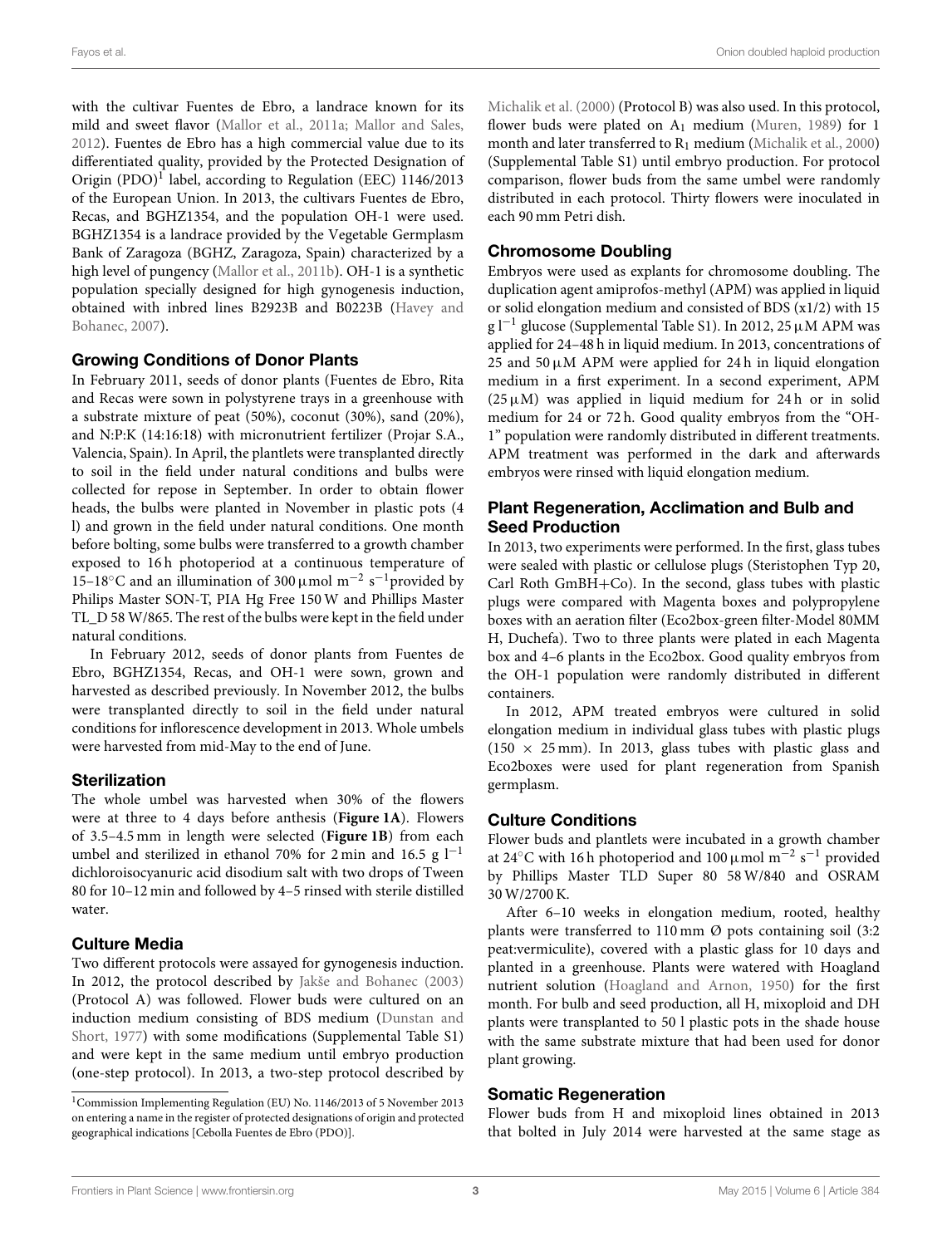with the cultivar Fuentes de Ebro, a landrace known for its mild and sweet flavor [\(Mallor et al., 2011a;](#page-10-12) [Mallor and Sales,](#page-10-13) [2012\)](#page-10-13). Fuentes de Ebro has a high commercial value due to its differentiated quality, provided by the Protected Designation of Origin (PDO)<sup>[1](#page-2-0)</sup> label, according to Regulation (EEC) 1146/2013 of the European Union. In 2013, the cultivars Fuentes de Ebro, Recas, and BGHZ1354, and the population OH-1 were used. BGHZ1354 is a landrace provided by the Vegetable Germplasm Bank of Zaragoza (BGHZ, Zaragoza, Spain) characterized by a high level of pungency [\(Mallor et al., 2011b\)](#page-10-14). OH-1 is a synthetic population specially designed for high gynogenesis induction, obtained with inbred lines B2923B and B0223B (Havey and Bohanec, [2007\)](#page-9-22).

#### Growing Conditions of Donor Plants

In February 2011, seeds of donor plants (Fuentes de Ebro, Rita and Recas were sown in polystyrene trays in a greenhouse with a substrate mixture of peat (50%), coconut (30%), sand (20%), and N:P:K (14:16:18) with micronutrient fertilizer (Projar S.A., Valencia, Spain). In April, the plantlets were transplanted directly to soil in the field under natural conditions and bulbs were collected for repose in September. In order to obtain flower heads, the bulbs were planted in November in plastic pots (4 l) and grown in the field under natural conditions. One month before bolting, some bulbs were transferred to a growth chamber exposed to 16 h photoperiod at a continuous temperature of 15–18°C and an illumination of 300 μmol m<sup>-2</sup> s<sup>-1</sup>provided by Philips Master SON-T, PIA Hg Free 150 W and Phillips Master TL\_D 58 W/865. The rest of the bulbs were kept in the field under natural conditions.

In February 2012, seeds of donor plants from Fuentes de Ebro, BGHZ1354, Recas, and OH-1 were sown, grown and harvested as described previously. In November 2012, the bulbs were transplanted directly to soil in the field under natural conditions for inflorescence development in 2013. Whole umbels were harvested from mid-May to the end of June.

## **Sterilization**

The whole umbel was harvested when 30% of the flowers were at three to 4 days before anthesis (**[Figure 1A](#page-3-0)**). Flowers of 3.5–4.5 mm in length were selected (**[Figure 1B](#page-3-0)**) from each umbel and sterilized in ethanol 70% for 2 min and 16.5 g  $l^{-1}$ dichloroisocyanuric acid disodium salt with two drops of Tween 80 for 10–12 min and followed by 4–5 rinsed with sterile distilled water.

## Culture Media

Two different protocols were assayed for gynogenesis induction. In 2012, the protocol described by [Jakše and Bohanec \(2003\)](#page-10-10) (Protocol A) was followed. Flower buds were cultured on an induction medium consisting of BDS medium (Dunstan and Short, [1977\)](#page-9-17) with some modifications (Supplemental Table S1) and were kept in the same medium until embryo production (one-step protocol). In 2013, a two-step protocol described by [Michalik et al. \(2000\)](#page-10-5) (Protocol B) was also used. In this protocol, flower buds were plated on  $A_1$  medium [\(Muren, 1989\)](#page-10-3) for 1 month and later transferred to  $R_1$  medium [\(Michalik et al., 2000\)](#page-10-5) (Supplemental Table S1) until embryo production. For protocol comparison, flower buds from the same umbel were randomly distributed in each protocol. Thirty flowers were inoculated in each 90 mm Petri dish.

#### Chromosome Doubling

Embryos were used as explants for chromosome doubling. The duplication agent amiprofos-methyl (APM) was applied in liquid or solid elongation medium and consisted of BDS (x1/2) with 15 g l−<sup>1</sup> glucose (Supplemental Table S1). In 2012, 25µM APM was applied for 24–48 h in liquid medium. In 2013, concentrations of 25 and 50  $\mu$ M APM were applied for 24 h in liquid elongation medium in a first experiment. In a second experiment, APM ( $25 \mu M$ ) was applied in liquid medium for  $24 h$  or in solid medium for 24 or 72 h. Good quality embryos from the "OH-1" population were randomly distributed in different treatments. APM treatment was performed in the dark and afterwards embryos were rinsed with liquid elongation medium.

## Plant Regeneration, Acclimation and Bulb and Seed Production

In 2013, two experiments were performed. In the first, glass tubes were sealed with plastic or cellulose plugs (Steristophen Typ 20, Carl Roth GmBH+Co). In the second, glass tubes with plastic plugs were compared with Magenta boxes and polypropylene boxes with an aeration filter (Eco2box-green filter-Model 80MM H, Duchefa). Two to three plants were plated in each Magenta box and 4–6 plants in the Eco2box. Good quality embryos from the OH-1 population were randomly distributed in different containers.

In 2012, APM treated embryos were cultured in solid elongation medium in individual glass tubes with plastic plugs  $(150 \times 25 \text{ mm})$ . In 2013, glass tubes with plastic glass and Eco2boxes were used for plant regeneration from Spanish germplasm.

## Culture Conditions

Flower buds and plantlets were incubated in a growth chamber at 24°C with 16 h photoperiod and 100 µmol m<sup>-2</sup> s<sup>-1</sup> provided by Phillips Master TLD Super 80 58 W/840 and OSRAM 30 W/2700 K.

After 6–10 weeks in elongation medium, rooted, healthy plants were transferred to 110 mm Ø pots containing soil (3:2 peat:vermiculite), covered with a plastic glass for 10 days and planted in a greenhouse. Plants were watered with Hoagland nutrient solution [\(Hoagland and Arnon, 1950\)](#page-9-23) for the first month. For bulb and seed production, all H, mixoploid and DH plants were transplanted to 50 l plastic pots in the shade house with the same substrate mixture that had been used for donor plant growing.

#### Somatic Regeneration

Flower buds from H and mixoploid lines obtained in 2013 that bolted in July 2014 were harvested at the same stage as

<span id="page-2-0"></span><sup>1</sup>Commission Implementing Regulation (EU) No. 1146/2013 of 5 November 2013 on entering a name in the register of protected designations of origin and protected geographical indications [Cebolla Fuentes de Ebro (PDO)].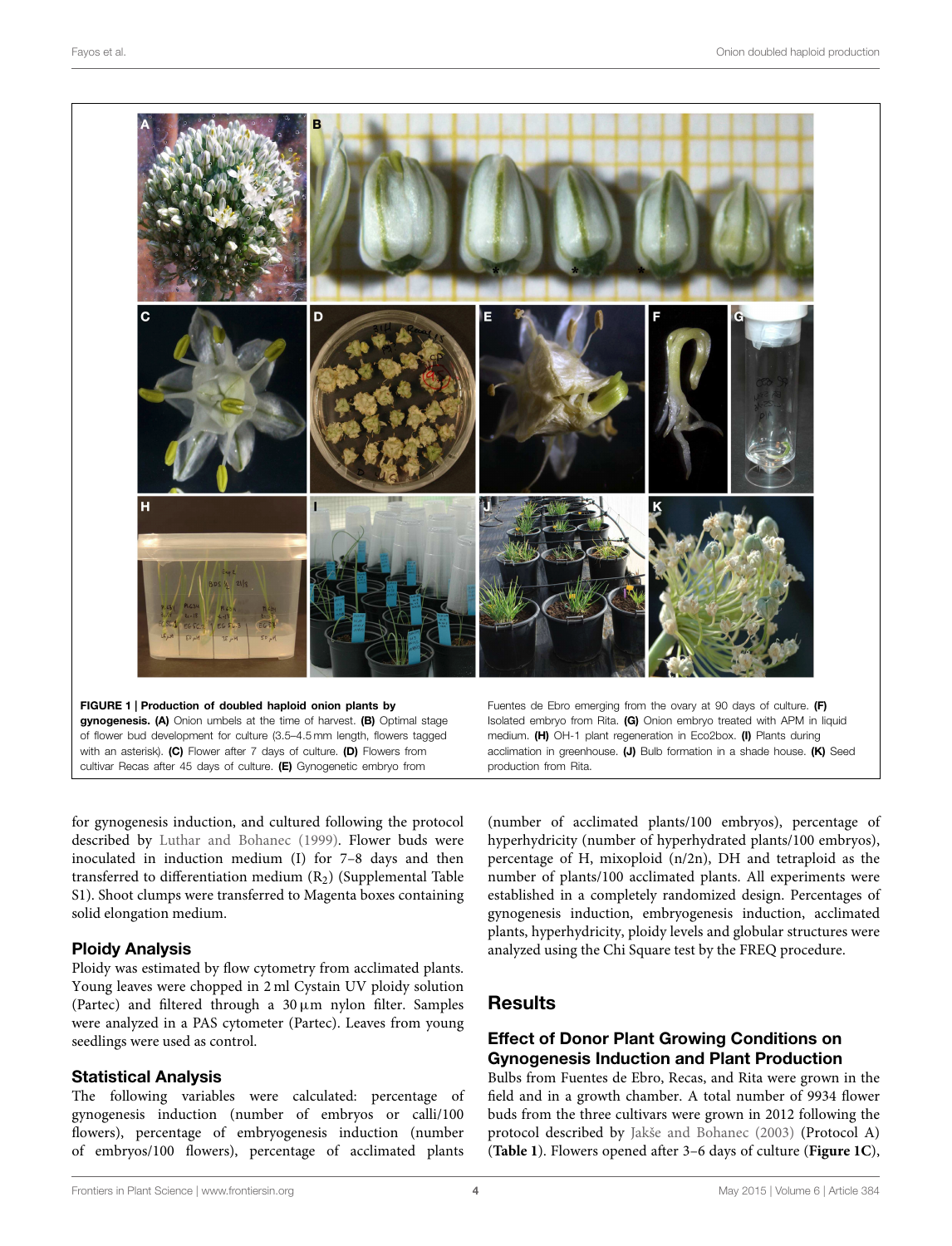

<span id="page-3-0"></span>FIGURE 1 | Production of doubled haploid onion plants by gynogenesis. (A) Onion umbels at the time of harvest. (B) Optimal stage of flower bud development for culture (3.5–4.5 mm length, flowers tagged with an asterisk). (C) Flower after 7 days of culture. (D) Flowers from cultivar Recas after 45 days of culture. (E) Gynogenetic embryo from

Fuentes de Ebro emerging from the ovary at 90 days of culture. (F) Isolated embryo from Rita. (G) Onion embryo treated with APM in liquid medium. (H) OH-1 plant regeneration in Eco2box. (I) Plants during acclimation in greenhouse. (J) Bulb formation in a shade house. (K) Seed production from Rita.

for gynogenesis induction, and cultured following the protocol described by [Luthar and Bohanec \(1999\)](#page-10-15). Flower buds were inoculated in induction medium (I) for 7–8 days and then transferred to differentiation medium  $(R_2)$  (Supplemental Table S1). Shoot clumps were transferred to Magenta boxes containing solid elongation medium.

## Ploidy Analysis

Ploidy was estimated by flow cytometry from acclimated plants. Young leaves were chopped in 2 ml Cystain UV ploidy solution (Partec) and filtered through a  $30 \,\mu \text{m}$  nylon filter. Samples were analyzed in a PAS cytometer (Partec). Leaves from young seedlings were used as control.

#### Statistical Analysis

The following variables were calculated: percentage of gynogenesis induction (number of embryos or calli/100 flowers), percentage of embryogenesis induction (number of embryos/100 flowers), percentage of acclimated plants (number of acclimated plants/100 embryos), percentage of hyperhydricity (number of hyperhydrated plants/100 embryos), percentage of H, mixoploid (n/2n), DH and tetraploid as the number of plants/100 acclimated plants. All experiments were established in a completely randomized design. Percentages of gynogenesis induction, embryogenesis induction, acclimated plants, hyperhydricity, ploidy levels and globular structures were analyzed using the Chi Square test by the FREQ procedure.

# Results

## Effect of Donor Plant Growing Conditions on Gynogenesis Induction and Plant Production

Bulbs from Fuentes de Ebro, Recas, and Rita were grown in the field and in a growth chamber. A total number of 9934 flower buds from the three cultivars were grown in 2012 following the protocol described by [Jakše and Bohanec \(2003\)](#page-10-10) (Protocol A) (**[Table 1](#page-4-0)**). Flowers opened after 3–6 days of culture (**[Figure 1C](#page-3-0)**),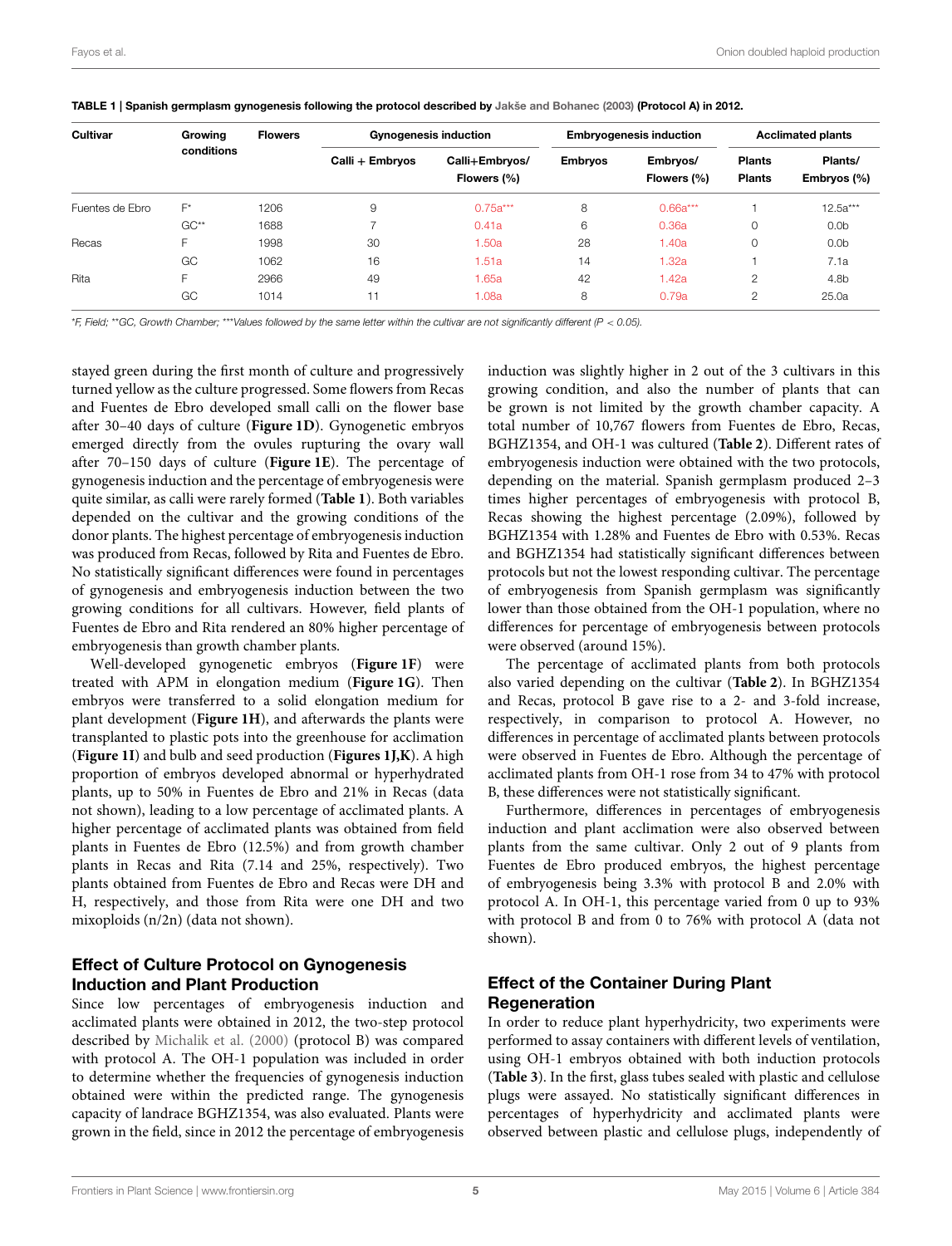| Cultivar        | Growing    | <b>Flowers</b> |                 | <b>Gynogenesis induction</b>  |                | <b>Embryogenesis induction</b> | <b>Acclimated plants</b>       |                        |
|-----------------|------------|----------------|-----------------|-------------------------------|----------------|--------------------------------|--------------------------------|------------------------|
|                 | conditions |                | Calli + Embryos | Calli+Embryos/<br>Flowers (%) | <b>Embryos</b> | Embryos/<br>Flowers (%)        | <b>Plants</b><br><b>Plants</b> | Plants/<br>Embryos (%) |
| Fuentes de Ebro | $F^*$      | 1206           | 9               | $0.75a***$                    | 8              | $0.66a***$                     |                                | $12.5a***$             |
|                 | $GC**$     | 1688           |                 | 0.41a                         | 6              | 0.36a                          | $\Omega$                       | 0.0 <sub>b</sub>       |
| Recas           | F          | 1998           | 30              | 1.50a                         | 28             | 1.40a                          | 0                              | 0.0 <sub>b</sub>       |
|                 | GC         | 1062           | 16              | 1.51a                         | 14             | 1.32a                          |                                | 7.1a                   |
| Rita            | F.         | 2966           | 49              | 1.65a                         | 42             | l.42a                          | 2                              | 4.8b                   |
|                 | GC         | 1014           | -11             | 1.08a                         | 8              | 0.79a                          | ◠                              | 25.0a                  |

<span id="page-4-0"></span>TABLE 1 | Spanish germplasm gynogenesis following the protocol described by [Jakše and Bohanec \(2003\)](#page-10-10) (Protocol A) in 2012.

\*F, Field; \*\*GC, Growth Chamber; \*\*\*Values followed by the same letter within the cultivar are not significantly different (P < 0.05).

stayed green during the first month of culture and progressively turned yellow as the culture progressed. Some flowers from Recas and Fuentes de Ebro developed small calli on the flower base after 30–40 days of culture (**[Figure 1D](#page-3-0)**). Gynogenetic embryos emerged directly from the ovules rupturing the ovary wall after 70–150 days of culture (**[Figure 1E](#page-3-0)**). The percentage of gynogenesis induction and the percentage of embryogenesis were quite similar, as calli were rarely formed (**[Table 1](#page-4-0)**). Both variables depended on the cultivar and the growing conditions of the donor plants. The highest percentage of embryogenesis induction was produced from Recas, followed by Rita and Fuentes de Ebro. No statistically significant differences were found in percentages of gynogenesis and embryogenesis induction between the two growing conditions for all cultivars. However, field plants of Fuentes de Ebro and Rita rendered an 80% higher percentage of embryogenesis than growth chamber plants.

Well-developed gynogenetic embryos (**[Figure 1F](#page-3-0)**) were treated with APM in elongation medium (**[Figure 1G](#page-3-0)**). Then embryos were transferred to a solid elongation medium for plant development (**[Figure 1H](#page-3-0)**), and afterwards the plants were transplanted to plastic pots into the greenhouse for acclimation (**[Figure 1I](#page-3-0)**) and bulb and seed production (**[Figures 1J,K](#page-3-0)**). A high proportion of embryos developed abnormal or hyperhydrated plants, up to 50% in Fuentes de Ebro and 21% in Recas (data not shown), leading to a low percentage of acclimated plants. A higher percentage of acclimated plants was obtained from field plants in Fuentes de Ebro (12.5%) and from growth chamber plants in Recas and Rita (7.14 and 25%, respectively). Two plants obtained from Fuentes de Ebro and Recas were DH and H, respectively, and those from Rita were one DH and two mixoploids (n/2n) (data not shown).

# Effect of Culture Protocol on Gynogenesis Induction and Plant Production

Since low percentages of embryogenesis induction and acclimated plants were obtained in 2012, the two-step protocol described by [Michalik et al. \(2000\)](#page-10-5) (protocol B) was compared with protocol A. The OH-1 population was included in order to determine whether the frequencies of gynogenesis induction obtained were within the predicted range. The gynogenesis capacity of landrace BGHZ1354, was also evaluated. Plants were grown in the field, since in 2012 the percentage of embryogenesis induction was slightly higher in 2 out of the 3 cultivars in this growing condition, and also the number of plants that can be grown is not limited by the growth chamber capacity. A total number of 10,767 flowers from Fuentes de Ebro, Recas, BGHZ1354, and OH-1 was cultured (**[Table 2](#page-5-0)**). Different rates of embryogenesis induction were obtained with the two protocols, depending on the material. Spanish germplasm produced 2–3 times higher percentages of embryogenesis with protocol B, Recas showing the highest percentage (2.09%), followed by BGHZ1354 with 1.28% and Fuentes de Ebro with 0.53%. Recas and BGHZ1354 had statistically significant differences between protocols but not the lowest responding cultivar. The percentage of embryogenesis from Spanish germplasm was significantly lower than those obtained from the OH-1 population, where no differences for percentage of embryogenesis between protocols were observed (around 15%).

The percentage of acclimated plants from both protocols also varied depending on the cultivar (**[Table 2](#page-5-0)**). In BGHZ1354 and Recas, protocol B gave rise to a 2- and 3-fold increase, respectively, in comparison to protocol A. However, no differences in percentage of acclimated plants between protocols were observed in Fuentes de Ebro. Although the percentage of acclimated plants from OH-1 rose from 34 to 47% with protocol B, these differences were not statistically significant.

Furthermore, differences in percentages of embryogenesis induction and plant acclimation were also observed between plants from the same cultivar. Only 2 out of 9 plants from Fuentes de Ebro produced embryos, the highest percentage of embryogenesis being 3.3% with protocol B and 2.0% with protocol A. In OH-1, this percentage varied from 0 up to 93% with protocol B and from 0 to 76% with protocol A (data not shown).

# Effect of the Container During Plant Regeneration

In order to reduce plant hyperhydricity, two experiments were performed to assay containers with different levels of ventilation, using OH-1 embryos obtained with both induction protocols (**[Table 3](#page-5-1)**). In the first, glass tubes sealed with plastic and cellulose plugs were assayed. No statistically significant differences in percentages of hyperhydricity and acclimated plants were observed between plastic and cellulose plugs, independently of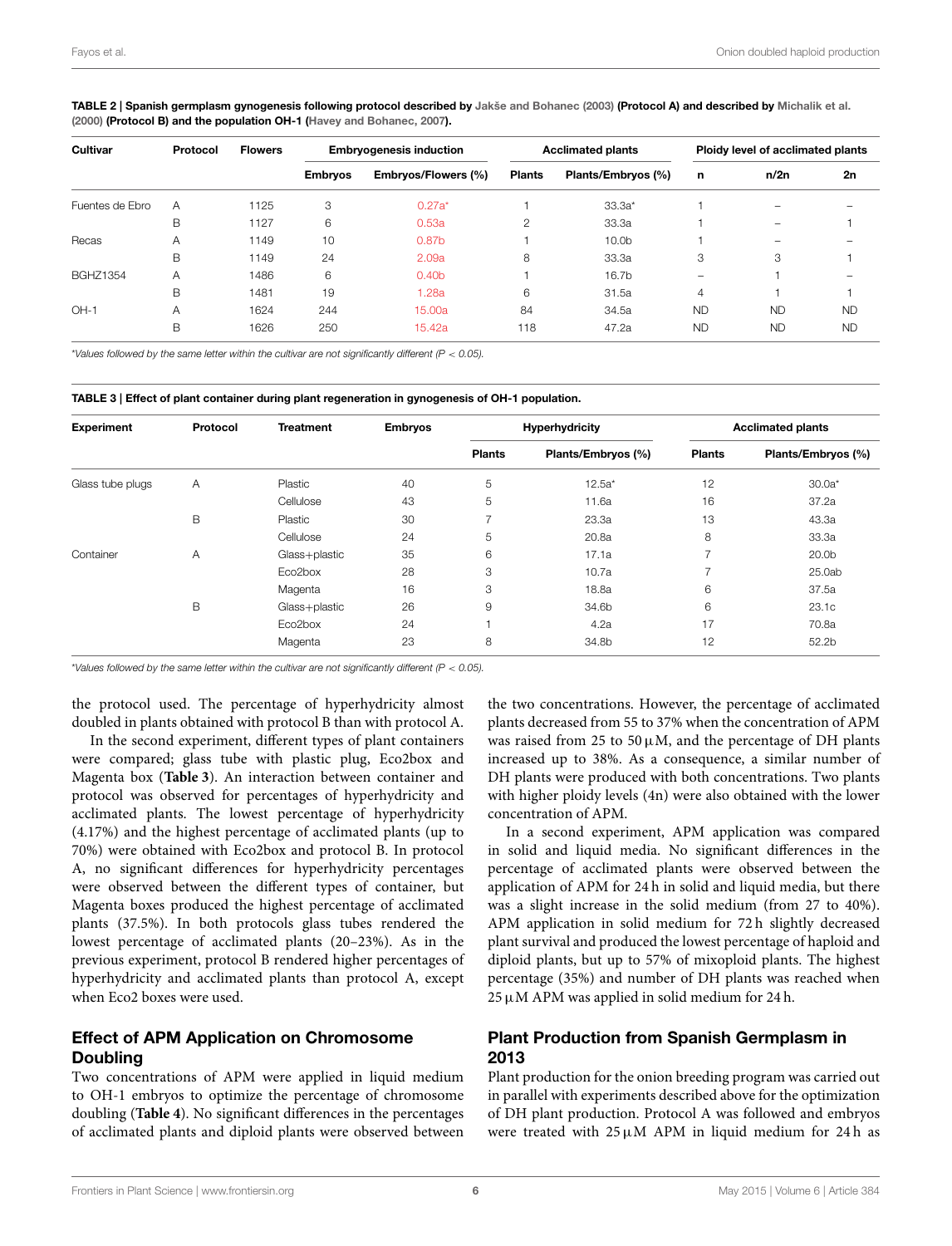| <b>Cultivar</b> | Protocol | <b>Flowers</b> |                | <b>Embryogenesis induction</b> |               | <b>Acclimated plants</b> |                | Ploidy level of acclimated plants |           |  |
|-----------------|----------|----------------|----------------|--------------------------------|---------------|--------------------------|----------------|-----------------------------------|-----------|--|
|                 |          |                | <b>Embryos</b> | Embryos/Flowers (%)            | <b>Plants</b> | Plants/Embryos (%)       | n              | n/2n                              | 2n        |  |
| Fuentes de Ebro | A        | 1125           | 3              | $0.27a*$                       |               | $33.3a*$                 |                | -                                 |           |  |
|                 | B        | 1127           | 6              | 0.53a                          | $\mathbf{2}$  | 33.3a                    |                | $\overline{\phantom{m}}$          |           |  |
| Recas           | A        | 1149           | 10             | 0.87 <sub>b</sub>              |               | 10.0 <sub>b</sub>        |                | -                                 |           |  |
|                 | B        | 1149           | 24             | 2.09a                          | 8             | 33.3a                    | 3              | 3                                 |           |  |
| <b>BGHZ1354</b> | Α        | 1486           | 6              | 0.40 <sub>b</sub>              |               | 16.7b                    | -              |                                   |           |  |
|                 | B        | 1481           | 19             | 1.28a                          | 6             | 31.5a                    | $\overline{4}$ |                                   |           |  |
| $OH-1$          | A        | 1624           | 244            | 15.00a                         | 84            | 34.5a                    | <b>ND</b>      | <b>ND</b>                         | <b>ND</b> |  |
|                 | B        | 1626           | 250            | 15.42a                         | 118           | 47.2a                    | <b>ND</b>      | <b>ND</b>                         | <b>ND</b> |  |

<span id="page-5-0"></span>TABLE 2 | Spanish germplasm gynogenesis following protocol described by [Jakše and Bohanec \(2003\)](#page-10-10) (Protocol A) and described by [Michalik et al.](#page-10-5) [\(2000\)](#page-10-5) (Protocol B) and the population OH-1 [\(Havey and Bohanec, 2007\)](#page-9-22).

\*Values followed by the same letter within the cultivar are not significantly different ( $P < 0.05$ ).

<span id="page-5-1"></span>

| TABLE 3   Effect of plant container during plant regeneration in gynogenesis of OH-1 population. |  |  |  |
|--------------------------------------------------------------------------------------------------|--|--|--|
|--------------------------------------------------------------------------------------------------|--|--|--|

| <b>Experiment</b> | Protocol | <b>Treatment</b> | <b>Embryos</b> |               | <b>Hyperhydricity</b> | <b>Acclimated plants</b> |                    |  |
|-------------------|----------|------------------|----------------|---------------|-----------------------|--------------------------|--------------------|--|
|                   |          |                  |                | <b>Plants</b> | Plants/Embryos (%)    | <b>Plants</b>            | Plants/Embryos (%) |  |
| Glass tube plugs  | A        | Plastic          | 40             | 5             | $12.5a*$              | 12                       | $30.0a*$           |  |
|                   |          | Cellulose        | 43             | 5             | 11.6a                 | 16                       | 37.2a              |  |
|                   | B        | Plastic          | 30             | ⇁             | 23.3a                 | 13                       | 43.3a              |  |
|                   |          | Cellulose        | 24             | 5             | 20.8a                 | 8                        | 33.3a              |  |
| Container         | A        | Glass+plastic    | 35             | 6             | 17.1a                 | ⇁                        | 20.0 <sub>b</sub>  |  |
|                   |          | Eco2box          | 28             | 3             | 10.7a                 | ⇁                        | 25.0ab             |  |
|                   |          | Magenta          | 16             | 3             | 18.8a                 | 6                        | 37.5a              |  |
|                   | B        | Glass+plastic    | 26             | 9             | 34.6b                 | 6                        | 23.1c              |  |
|                   |          | Eco2box          | 24             |               | 4.2a                  | 17                       | 70.8a              |  |
|                   |          | Magenta          | 23             | 8             | 34.8b                 | 12                       | 52.2b              |  |

\*Values followed by the same letter within the cultivar are not significantly different ( $P < 0.05$ ).

the protocol used. The percentage of hyperhydricity almost doubled in plants obtained with protocol B than with protocol A.

In the second experiment, different types of plant containers were compared; glass tube with plastic plug, Eco2box and Magenta box (**[Table 3](#page-5-1)**). An interaction between container and protocol was observed for percentages of hyperhydricity and acclimated plants. The lowest percentage of hyperhydricity (4.17%) and the highest percentage of acclimated plants (up to 70%) were obtained with Eco2box and protocol B. In protocol A, no significant differences for hyperhydricity percentages were observed between the different types of container, but Magenta boxes produced the highest percentage of acclimated plants (37.5%). In both protocols glass tubes rendered the lowest percentage of acclimated plants (20–23%). As in the previous experiment, protocol B rendered higher percentages of hyperhydricity and acclimated plants than protocol A, except when Eco2 boxes were used.

# Effect of APM Application on Chromosome Doubling

Two concentrations of APM were applied in liquid medium to OH-1 embryos to optimize the percentage of chromosome doubling (**[Table 4](#page-6-0)**). No significant differences in the percentages of acclimated plants and diploid plants were observed between the two concentrations. However, the percentage of acclimated plants decreased from 55 to 37% when the concentration of APM was raised from 25 to 50  $\mu$ M, and the percentage of DH plants increased up to 38%. As a consequence, a similar number of DH plants were produced with both concentrations. Two plants with higher ploidy levels (4n) were also obtained with the lower concentration of APM.

In a second experiment, APM application was compared in solid and liquid media. No significant differences in the percentage of acclimated plants were observed between the application of APM for 24 h in solid and liquid media, but there was a slight increase in the solid medium (from 27 to 40%). APM application in solid medium for 72 h slightly decreased plant survival and produced the lowest percentage of haploid and diploid plants, but up to 57% of mixoploid plants. The highest percentage (35%) and number of DH plants was reached when  $25 \mu$ M APM was applied in solid medium for 24 h.

#### Plant Production from Spanish Germplasm in 2013

Plant production for the onion breeding program was carried out in parallel with experiments described above for the optimization of DH plant production. Protocol A was followed and embryos were treated with  $25 \mu M$  APM in liquid medium for 24h as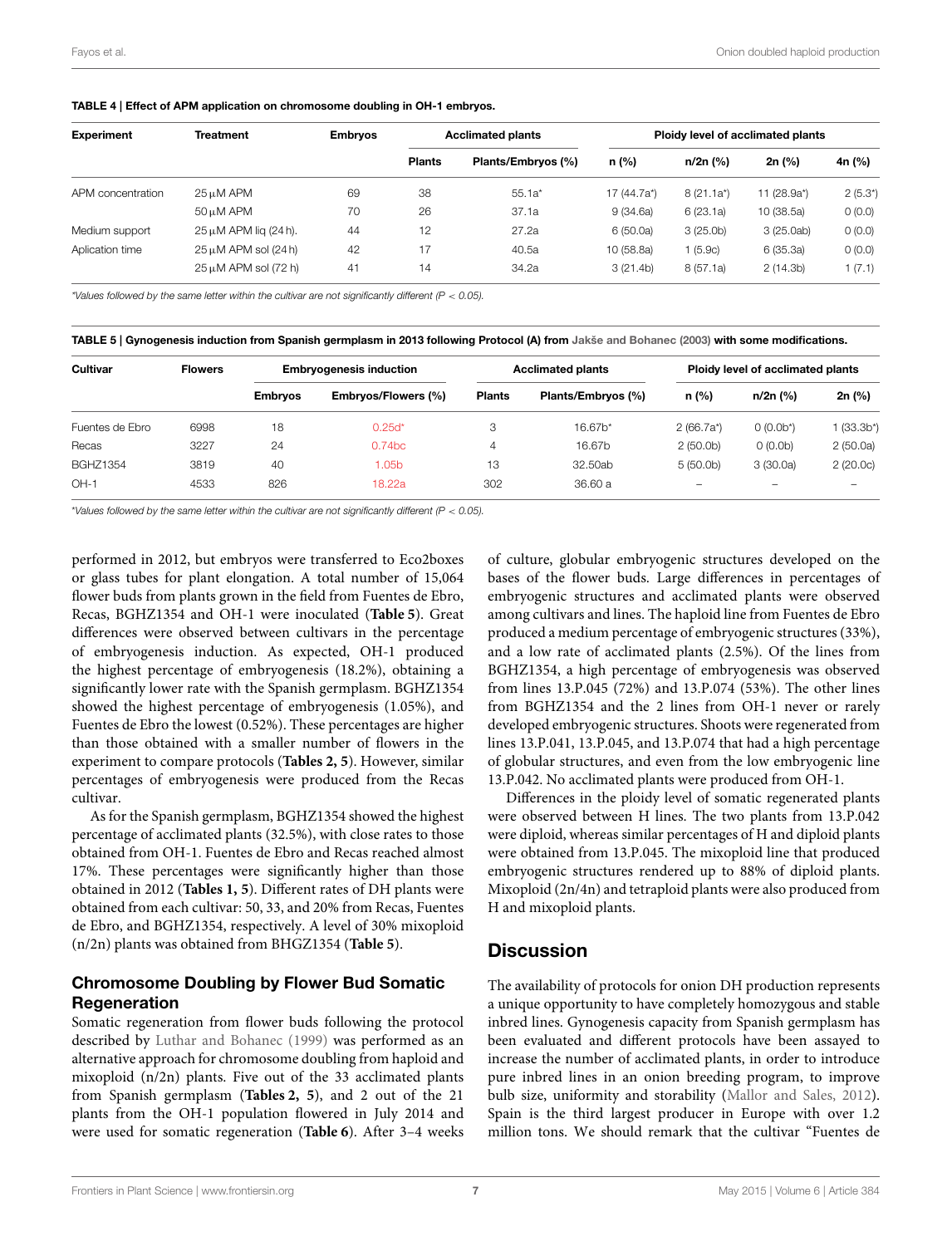<span id="page-6-0"></span>

|  |  |  |  |  | TABLE 4   Effect of APM application on chromosome doubling in OH-1 embryos. |
|--|--|--|--|--|-----------------------------------------------------------------------------|
|--|--|--|--|--|-----------------------------------------------------------------------------|

| <b>Experiment</b> | Treatment                       | <b>Embryos</b> |               | <b>Acclimated plants</b> | Ploidy level of acclimated plants |              |             |              |  |
|-------------------|---------------------------------|----------------|---------------|--------------------------|-----------------------------------|--------------|-------------|--------------|--|
|                   |                                 |                | <b>Plants</b> | Plants/Embryos (%)       | n (%)                             | n/2n (%)     | $2n$ (%)    | 4n (%)       |  |
| APM concentration | $25 \mu M$ APM                  | 69             | 38            | $55.1a*$                 | 17 (44.7a*)                       | $8(21.1a^*)$ | 11 (28.9a*) | $2(5.3^{*})$ |  |
|                   | $50 \mu M$ APM                  | 70             | 26            | 37.1a                    | 9(34.6a)                          | 6(23.1a)     | 10 (38.5a)  | 0(0.0)       |  |
| Medium support    | $25 \mu M$ APM lig (24 h).      | 44             | 12            | 27.2a                    | 6(50.0a)                          | 3(25.0b)     | 3(25.0ab)   | 0(0.0)       |  |
| Aplication time   | 42<br>$25 \mu M$ APM sol (24 h) |                |               | 40.5a                    | 10 (58.8a)                        | 1(5.9c)      | 6 (35.3a)   | 0(0.0)       |  |
|                   | $25 \mu M$ APM sol (72 h)       | 41             | 14            | 34.2a                    | 3(21.4b)                          | 8(57.1a)     | 2(14.3b)    | 1(7.1)       |  |

\*Values followed by the same letter within the cultivar are not significantly different (P < 0.05).

<span id="page-6-1"></span>TABLE 5 | Gynogenesis induction from Spanish germplasm in 2013 following Protocol (A) from [Jakše and Bohanec \(2003\)](#page-10-10) with some modifications.

| Cultivar        | <b>Flowers</b> | <b>Embryogenesis induction</b> |                     |               | <b>Acclimated plants</b> | Ploidy level of acclimated plants |                      |             |  |
|-----------------|----------------|--------------------------------|---------------------|---------------|--------------------------|-----------------------------------|----------------------|-------------|--|
|                 |                | <b>Embrvos</b>                 | Embryos/Flowers (%) | <b>Plants</b> | Plants/Embryos (%)       | $n$ (%)                           | n/2n (%)             | 2n (%)      |  |
| Fuentes de Ebro | 6998           | 18                             | $0.25d*$            | 3             | 16.67b*                  | $2(66.7a^*)$                      | $0(0.0b^*)$          | $(33.3b^*)$ |  |
| Recas           | 3227           | 24                             | 0.74 <sub>bc</sub>  | 4             | 16.67b                   | 2(50.0 <sub>b</sub> )             | 0(0.0 <sub>b</sub> ) | 2(50.0a)    |  |
| <b>BGHZ1354</b> | 3819           | 40                             | 1.05b               | 13            | 32.50ab                  | 5(50.0 <sub>b</sub> )             | 3(30.0a)             | 2(20.0c)    |  |
| $OH-1$          | 4533           | 826                            | 18.22a              | 302           | 36.60 a                  | -                                 | -                    | -           |  |

\*Values followed by the same letter within the cultivar are not significantly different ( $P < 0.05$ ).

performed in 2012, but embryos were transferred to Eco2boxes or glass tubes for plant elongation. A total number of 15,064 flower buds from plants grown in the field from Fuentes de Ebro, Recas, BGHZ1354 and OH-1 were inoculated (**[Table 5](#page-6-1)**). Great differences were observed between cultivars in the percentage of embryogenesis induction. As expected, OH-1 produced the highest percentage of embryogenesis (18.2%), obtaining a significantly lower rate with the Spanish germplasm. BGHZ1354 showed the highest percentage of embryogenesis (1.05%), and Fuentes de Ebro the lowest (0.52%). These percentages are higher than those obtained with a smaller number of flowers in the experiment to compare protocols (**[Tables 2,](#page-5-0) [5](#page-6-1)**). However, similar percentages of embryogenesis were produced from the Recas cultivar.

As for the Spanish germplasm, BGHZ1354 showed the highest percentage of acclimated plants (32.5%), with close rates to those obtained from OH-1. Fuentes de Ebro and Recas reached almost 17%. These percentages were significantly higher than those obtained in 2012 (**[Tables 1,](#page-4-0) [5](#page-6-1)**). Different rates of DH plants were obtained from each cultivar: 50, 33, and 20% from Recas, Fuentes de Ebro, and BGHZ1354, respectively. A level of 30% mixoploid (n/2n) plants was obtained from BHGZ1354 (**[Table 5](#page-6-1)**).

## Chromosome Doubling by Flower Bud Somatic Regeneration

Somatic regeneration from flower buds following the protocol described by [Luthar and Bohanec \(1999\)](#page-10-15) was performed as an alternative approach for chromosome doubling from haploid and mixoploid (n/2n) plants. Five out of the 33 acclimated plants from Spanish germplasm (**[Tables 2,](#page-5-0) [5](#page-6-1)**), and 2 out of the 21 plants from the OH-1 population flowered in July 2014 and were used for somatic regeneration (**[Table 6](#page-7-0)**). After 3–4 weeks of culture, globular embryogenic structures developed on the bases of the flower buds. Large differences in percentages of embryogenic structures and acclimated plants were observed among cultivars and lines. The haploid line from Fuentes de Ebro produced a medium percentage of embryogenic structures (33%), and a low rate of acclimated plants (2.5%). Of the lines from BGHZ1354, a high percentage of embryogenesis was observed from lines 13.P.045 (72%) and 13.P.074 (53%). The other lines from BGHZ1354 and the 2 lines from OH-1 never or rarely developed embryogenic structures. Shoots were regenerated from lines 13.P.041, 13.P.045, and 13.P.074 that had a high percentage of globular structures, and even from the low embryogenic line 13.P.042. No acclimated plants were produced from OH-1.

Differences in the ploidy level of somatic regenerated plants were observed between H lines. The two plants from 13.P.042 were diploid, whereas similar percentages of H and diploid plants were obtained from 13.P.045. The mixoploid line that produced embryogenic structures rendered up to 88% of diploid plants. Mixoploid (2n/4n) and tetraploid plants were also produced from H and mixoploid plants.

## **Discussion**

The availability of protocols for onion DH production represents a unique opportunity to have completely homozygous and stable inbred lines. Gynogenesis capacity from Spanish germplasm has been evaluated and different protocols have been assayed to increase the number of acclimated plants, in order to introduce pure inbred lines in an onion breeding program, to improve bulb size, uniformity and storability [\(Mallor and Sales, 2012\)](#page-10-13). Spain is the third largest producer in Europe with over 1.2 million tons. We should remark that the cultivar "Fuentes de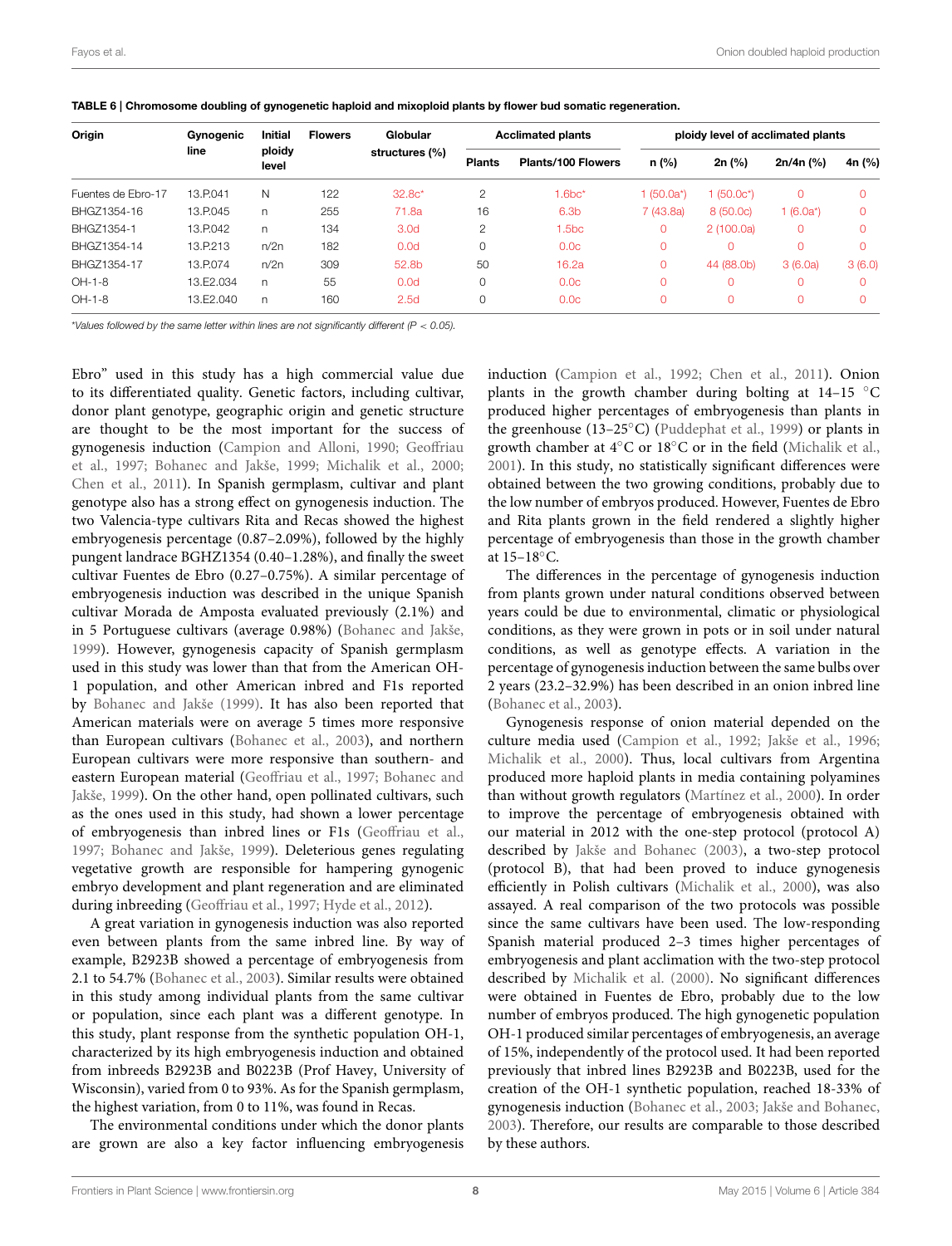| Origin             | Gynogenic | <b>Initial</b>  | <b>Flowers</b> | Globular<br>structures (%) | <b>Acclimated plants</b> |                           | ploidy level of acclimated plants |            |              |        |
|--------------------|-----------|-----------------|----------------|----------------------------|--------------------------|---------------------------|-----------------------------------|------------|--------------|--------|
|                    | line      | ploidy<br>level |                |                            | <b>Plants</b>            | <b>Plants/100 Flowers</b> | n (%)                             | 2n (%)     | $2n/4n$ (%)  | 4n (%) |
| Fuentes de Ebro-17 | 13.P.041  | N               | 122            | $32.8c*$                   | 2                        | $1.6bc*$                  | 1 (50.0a*)                        | 1 (50.0c*) | $\Omega$     |        |
| BHGZ1354-16        | 13.P.045  | n               | 255            | 71.8a                      | 16                       | 6.3 <sub>b</sub>          | 7(43.8a)                          | 8 (50.0c)  | 1 $(6.0a^*)$ |        |
| BHGZ1354-1         | 13.P.042  | n               | 134            | 3.0 <sub>d</sub>           | 2                        | 1.5 <sub>bc</sub>         | 0                                 | 2(100.0a)  | 0            |        |
| BHGZ1354-14        | 13.P.213  | n/2n            | 182            | 0.0d                       | 0                        | 0.0c                      | C                                 |            | $\Omega$     |        |
| BHGZ1354-17        | 13.P.074  | n/2n            | 309            | 52.8b                      | 50                       | 16.2a                     | 0                                 | 44 (88.0b) | 3(6.0a)      | 3(6.0) |
| OH-1-8             | 13.F2.034 | n               | 55             | 0.0d                       | 0                        | 0.0c                      | C                                 |            | $\Omega$     |        |
| $OH-1-8$           | 13.E2.040 | n               | 160            | 2.5d                       | 0                        | 0.0c                      | $\Omega$                          |            | 0            |        |

<span id="page-7-0"></span>TABLE 6 | Chromosome doubling of gynogenetic haploid and mixoploid plants by flower bud somatic regeneration.

\*Values followed by the same letter within lines are not significantly different ( $P < 0.05$ ).

Ebro" used in this study has a high commercial value due to its differentiated quality. Genetic factors, including cultivar, donor plant genotype, geographic origin and genetic structure are thought to be the most important for the success of gynogenesis induction [\(Campion and Alloni, 1990;](#page-9-8) Geoffriau et al., [1997;](#page-9-11) [Bohanec and Jakše, 1999;](#page-9-12) [Michalik et al., 2000;](#page-10-5) [Chen et al., 2011\)](#page-9-4). In Spanish germplasm, cultivar and plant genotype also has a strong effect on gynogenesis induction. The two Valencia-type cultivars Rita and Recas showed the highest embryogenesis percentage (0.87–2.09%), followed by the highly pungent landrace BGHZ1354 (0.40–1.28%), and finally the sweet cultivar Fuentes de Ebro (0.27–0.75%). A similar percentage of embryogenesis induction was described in the unique Spanish cultivar Morada de Amposta evaluated previously (2.1%) and in 5 Portuguese cultivars (average 0.98%) [\(Bohanec and Jakše,](#page-9-12) [1999\)](#page-9-12). However, gynogenesis capacity of Spanish germplasm used in this study was lower than that from the American OH-1 population, and other American inbred and F1s reported by [Bohanec and Jakše \(1999\)](#page-9-12). It has also been reported that American materials were on average 5 times more responsive than European cultivars [\(Bohanec et al., 2003\)](#page-9-14), and northern European cultivars were more responsive than southern- and eastern European material [\(Geoffriau et al., 1997;](#page-9-11) Bohanec and Jakše, [1999\)](#page-9-12). On the other hand, open pollinated cultivars, such as the ones used in this study, had shown a lower percentage of embryogenesis than inbred lines or F1s [\(Geoffriau et al.,](#page-9-11) [1997;](#page-9-11) [Bohanec and Jakše, 1999\)](#page-9-12). Deleterious genes regulating vegetative growth are responsible for hampering gynogenic embryo development and plant regeneration and are eliminated during inbreeding [\(Geoffriau et al., 1997;](#page-9-11) [Hyde et al., 2012\)](#page-10-1).

A great variation in gynogenesis induction was also reported even between plants from the same inbred line. By way of example, B2923B showed a percentage of embryogenesis from 2.1 to 54.7% [\(Bohanec et al., 2003\)](#page-9-14). Similar results were obtained in this study among individual plants from the same cultivar or population, since each plant was a different genotype. In this study, plant response from the synthetic population OH-1, characterized by its high embryogenesis induction and obtained from inbreeds B2923B and B0223B (Prof Havey, University of Wisconsin), varied from 0 to 93%. As for the Spanish germplasm, the highest variation, from 0 to 11%, was found in Recas.

The environmental conditions under which the donor plants are grown are also a key factor influencing embryogenesis induction [\(Campion et al., 1992;](#page-9-9) [Chen et al., 2011\)](#page-9-4). Onion plants in the growth chamber during bolting at  $14-15$  °C produced higher percentages of embryogenesis than plants in the greenhouse (13–25◦C) [\(Puddephat et al., 1999\)](#page-10-6) or plants in growth chamber at 4◦C or 18◦C or in the field [\(Michalik et al.,](#page-10-7) [2001\)](#page-10-7). In this study, no statistically significant differences were obtained between the two growing conditions, probably due to the low number of embryos produced. However, Fuentes de Ebro and Rita plants grown in the field rendered a slightly higher percentage of embryogenesis than those in the growth chamber at 15–18◦C.

The differences in the percentage of gynogenesis induction from plants grown under natural conditions observed between years could be due to environmental, climatic or physiological conditions, as they were grown in pots or in soil under natural conditions, as well as genotype effects. A variation in the percentage of gynogenesis induction between the same bulbs over 2 years (23.2–32.9%) has been described in an onion inbred line [\(Bohanec et al., 2003\)](#page-9-14).

Gynogenesis response of onion material depended on the culture media used [\(Campion et al., 1992;](#page-9-9) [Jakše et al., 1996;](#page-10-16) [Michalik et al., 2000\)](#page-10-5). Thus, local cultivars from Argentina produced more haploid plants in media containing polyamines than without growth regulators [\(Martínez et al., 2000\)](#page-10-9). In order to improve the percentage of embryogenesis obtained with our material in 2012 with the one-step protocol (protocol A) described by [Jakše and Bohanec \(2003\)](#page-10-10), a two-step protocol (protocol B), that had been proved to induce gynogenesis efficiently in Polish cultivars [\(Michalik et al., 2000\)](#page-10-5), was also assayed. A real comparison of the two protocols was possible since the same cultivars have been used. The low-responding Spanish material produced 2–3 times higher percentages of embryogenesis and plant acclimation with the two-step protocol described by [Michalik et al. \(2000\)](#page-10-5). No significant differences were obtained in Fuentes de Ebro, probably due to the low number of embryos produced. The high gynogenetic population OH-1 produced similar percentages of embryogenesis, an average of 15%, independently of the protocol used. It had been reported previously that inbred lines B2923B and B0223B, used for the creation of the OH-1 synthetic population, reached 18-33% of gynogenesis induction [\(Bohanec et al., 2003;](#page-9-14) [Jakše and Bohanec,](#page-10-10) [2003\)](#page-10-10). Therefore, our results are comparable to those described by these authors.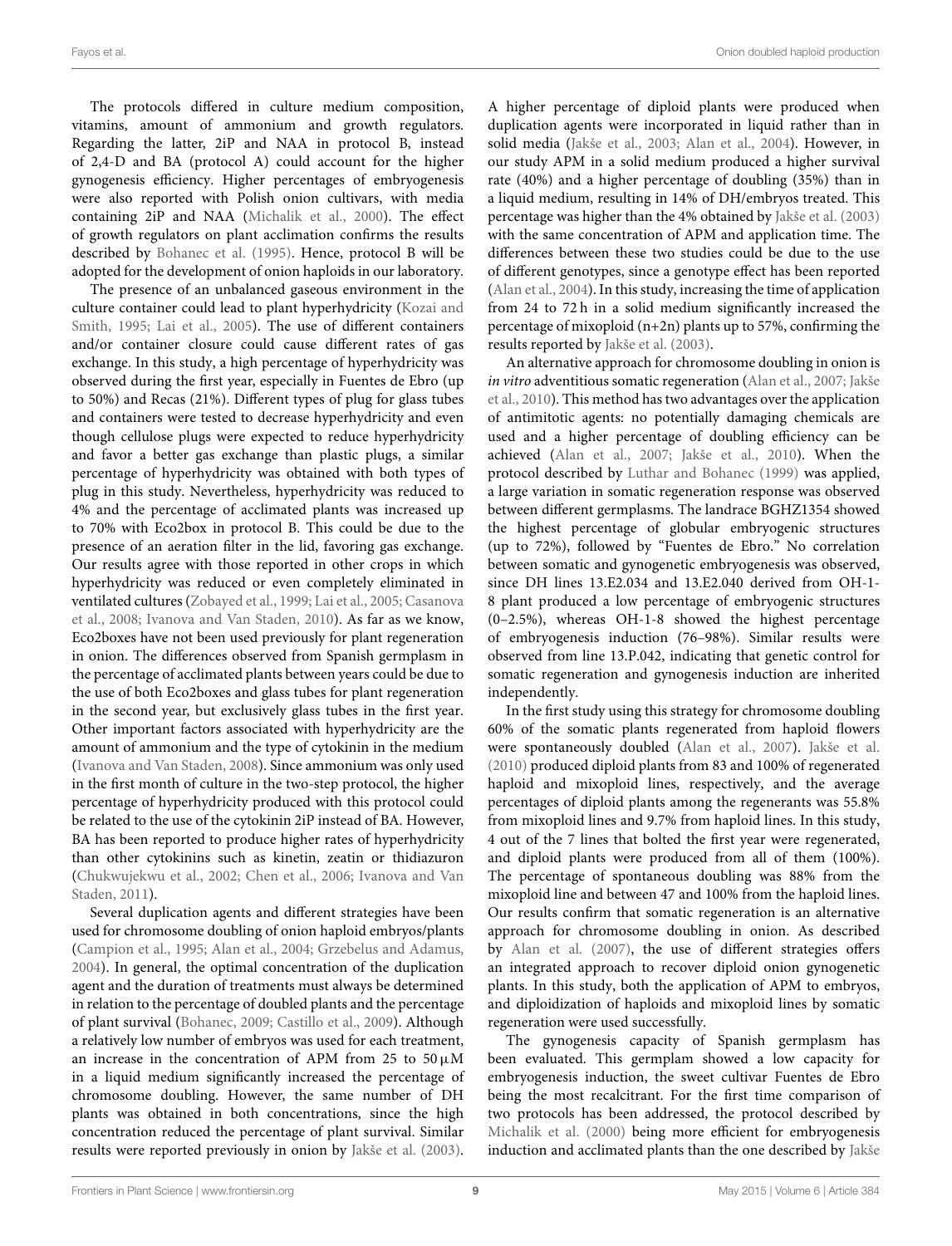The protocols differed in culture medium composition, vitamins, amount of ammonium and growth regulators. Regarding the latter, 2iP and NAA in protocol B, instead of 2,4-D and BA (protocol A) could account for the higher gynogenesis efficiency. Higher percentages of embryogenesis were also reported with Polish onion cultivars, with media containing 2iP and NAA [\(Michalik et al., 2000\)](#page-10-5). The effect of growth regulators on plant acclimation confirms the results described by [Bohanec et al. \(1995\)](#page-9-10). Hence, protocol B will be adopted for the development of onion haploids in our laboratory.

The presence of an unbalanced gaseous environment in the culture container could lead to plant hyperhydricity (Kozai and Smith, [1995;](#page-10-17) [Lai et al., 2005\)](#page-10-18). The use of different containers and/or container closure could cause different rates of gas exchange. In this study, a high percentage of hyperhydricity was observed during the first year, especially in Fuentes de Ebro (up to 50%) and Recas (21%). Different types of plug for glass tubes and containers were tested to decrease hyperhydricity and even though cellulose plugs were expected to reduce hyperhydricity and favor a better gas exchange than plastic plugs, a similar percentage of hyperhydricity was obtained with both types of plug in this study. Nevertheless, hyperhydricity was reduced to 4% and the percentage of acclimated plants was increased up to 70% with Eco2box in protocol B. This could be due to the presence of an aeration filter in the lid, favoring gas exchange. Our results agree with those reported in other crops in which hyperhydricity was reduced or even completely eliminated in ventilated cultures [\(Zobayed et al., 1999;](#page-10-19) [Lai et al., 2005;](#page-10-18) Casanova et al., [2008;](#page-9-24) [Ivanova and Van Staden, 2010\)](#page-10-20). As far as we know, Eco2boxes have not been used previously for plant regeneration in onion. The differences observed from Spanish germplasm in the percentage of acclimated plants between years could be due to the use of both Eco2boxes and glass tubes for plant regeneration in the second year, but exclusively glass tubes in the first year. Other important factors associated with hyperhydricity are the amount of ammonium and the type of cytokinin in the medium [\(Ivanova and Van Staden, 2008\)](#page-10-21). Since ammonium was only used in the first month of culture in the two-step protocol, the higher percentage of hyperhydricity produced with this protocol could be related to the use of the cytokinin 2iP instead of BA. However, BA has been reported to produce higher rates of hyperhydricity than other cytokinins such as kinetin, zeatin or thidiazuron [\(Chukwujekwu et al., 2002;](#page-9-25) [Chen et al., 2006;](#page-9-26) Ivanova and Van Staden, [2011\)](#page-10-22).

Several duplication agents and different strategies have been used for chromosome doubling of onion haploid embryos/plants [\(Campion et al., 1995;](#page-9-1) [Alan et al., 2004;](#page-9-19) [Grzebelus and Adamus,](#page-9-21) [2004\)](#page-9-21). In general, the optimal concentration of the duplication agent and the duration of treatments must always be determined in relation to the percentage of doubled plants and the percentage of plant survival [\(Bohanec, 2009;](#page-9-13) [Castillo et al., 2009\)](#page-9-27). Although a relatively low number of embryos was used for each treatment, an increase in the concentration of APM from 25 to  $50 \mu$ M in a liquid medium significantly increased the percentage of chromosome doubling. However, the same number of DH plants was obtained in both concentrations, since the high concentration reduced the percentage of plant survival. Similar results were reported previously in onion by [Jakše et al. \(2003\)](#page-10-23). A higher percentage of diploid plants were produced when duplication agents were incorporated in liquid rather than in solid media [\(Jakše et al., 2003;](#page-10-23) [Alan et al., 2004\)](#page-9-19). However, in our study APM in a solid medium produced a higher survival rate (40%) and a higher percentage of doubling (35%) than in a liquid medium, resulting in 14% of DH/embryos treated. This percentage was higher than the 4% obtained by [Jakše et al. \(2003\)](#page-10-23) with the same concentration of APM and application time. The differences between these two studies could be due to the use of different genotypes, since a genotype effect has been reported [\(Alan et al., 2004\)](#page-9-19). In this study, increasing the time of application from 24 to 72 h in a solid medium significantly increased the percentage of mixoploid (n+2n) plants up to 57%, confirming the results reported by [Jakše et al. \(2003\)](#page-10-23).

An alternative approach for chromosome doubling in onion is in vitro adventitious somatic regeneration [\(Alan et al., 2007;](#page-9-20) Jakše et al., [2010\)](#page-10-0). This method has two advantages over the application of antimitotic agents: no potentially damaging chemicals are used and a higher percentage of doubling efficiency can be achieved [\(Alan et al., 2007;](#page-9-20) [Jakše et al., 2010\)](#page-10-0). When the protocol described by [Luthar and Bohanec \(1999\)](#page-10-15) was applied, a large variation in somatic regeneration response was observed between different germplasms. The landrace BGHZ1354 showed the highest percentage of globular embryogenic structures (up to 72%), followed by "Fuentes de Ebro." No correlation between somatic and gynogenetic embryogenesis was observed, since DH lines 13.E2.034 and 13.E2.040 derived from OH-1- 8 plant produced a low percentage of embryogenic structures (0–2.5%), whereas OH-1-8 showed the highest percentage of embryogenesis induction (76–98%). Similar results were observed from line 13.P.042, indicating that genetic control for somatic regeneration and gynogenesis induction are inherited independently.

In the first study using this strategy for chromosome doubling 60% of the somatic plants regenerated from haploid flowers were spontaneously doubled [\(Alan et al., 2007\)](#page-9-20). [Jakše et al.](#page-10-0) [\(2010\)](#page-10-0) produced diploid plants from 83 and 100% of regenerated haploid and mixoploid lines, respectively, and the average percentages of diploid plants among the regenerants was 55.8% from mixoploid lines and 9.7% from haploid lines. In this study, 4 out of the 7 lines that bolted the first year were regenerated, and diploid plants were produced from all of them (100%). The percentage of spontaneous doubling was 88% from the mixoploid line and between 47 and 100% from the haploid lines. Our results confirm that somatic regeneration is an alternative approach for chromosome doubling in onion. As described by [Alan et al. \(2007\)](#page-9-20), the use of different strategies offers an integrated approach to recover diploid onion gynogenetic plants. In this study, both the application of APM to embryos, and diploidization of haploids and mixoploid lines by somatic regeneration were used successfully.

The gynogenesis capacity of Spanish germplasm has been evaluated. This germplam showed a low capacity for embryogenesis induction, the sweet cultivar Fuentes de Ebro being the most recalcitrant. For the first time comparison of two protocols has been addressed, the protocol described by [Michalik et al. \(2000\)](#page-10-5) being more efficient for embryogenesis induction and acclimated plants than the one described by Jakše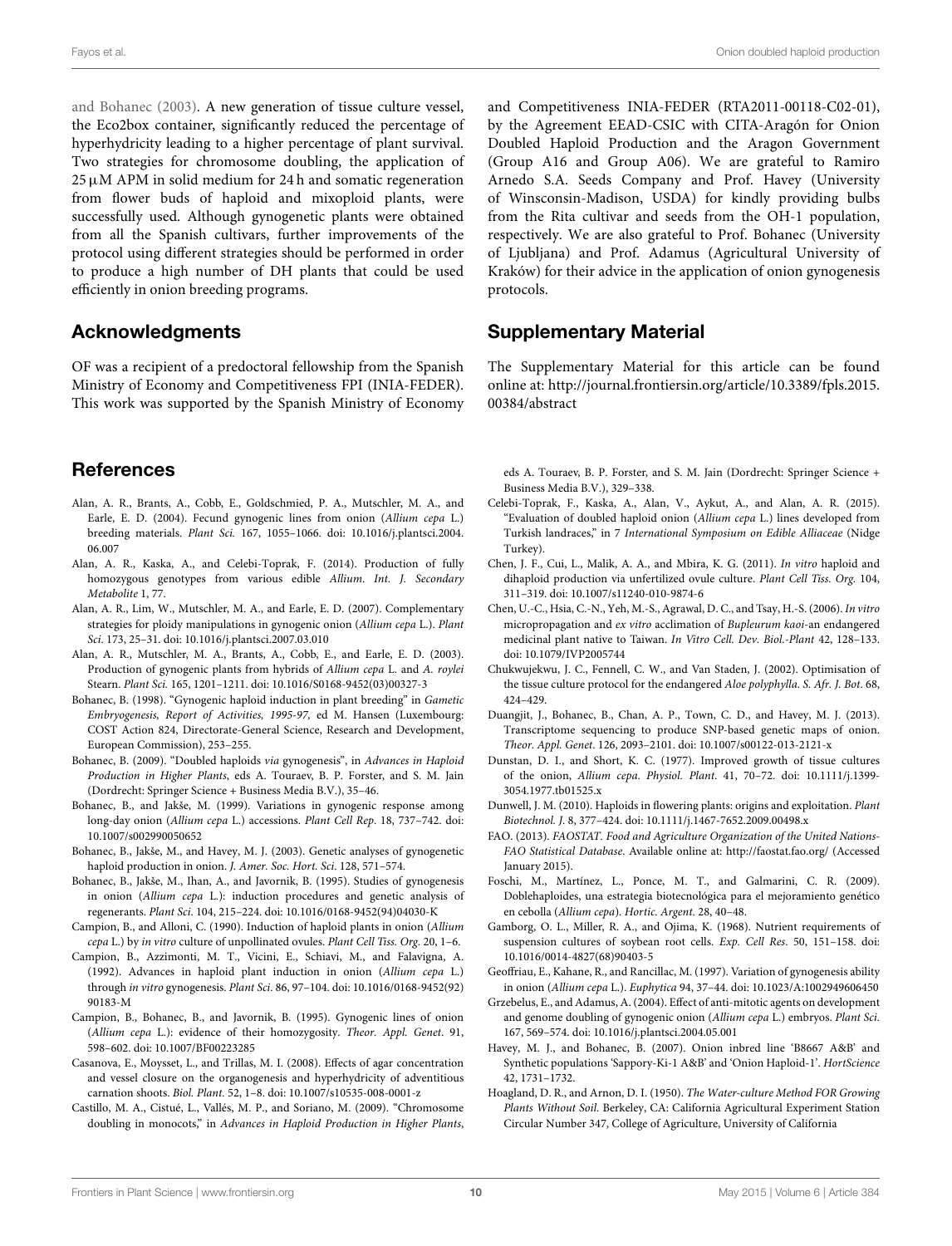Fayos et al. Onion doubled haploid production

and Bohanec [\(2003\)](#page-10-10). A new generation of tissue culture vessel, the Eco2box container, significantly reduced the percentage of hyperhydricity leading to a higher percentage of plant survival. Two strategies for chromosome doubling, the application of  $25 \mu$ M APM in solid medium for 24 h and somatic regeneration from flower buds of haploid and mixoploid plants, were successfully used. Although gynogenetic plants were obtained from all the Spanish cultivars, further improvements of the protocol using different strategies should be performed in order to produce a high number of DH plants that could be used efficiently in onion breeding programs.

# Acknowledgments

OF was a recipient of a predoctoral fellowship from the Spanish Ministry of Economy and Competitiveness FPI (INIA-FEDER). This work was supported by the Spanish Ministry of Economy

# References

- <span id="page-9-19"></span>Alan, A. R., Brants, A., Cobb, E., Goldschmied, P. A., Mutschler, M. A., and Earle, E. D. (2004). Fecund gynogenic lines from onion (Allium cepa L.) breeding materials. Plant Sci. 167, 1055–1066. doi: 10.1016/j.plantsci.2004. 06.007
- <span id="page-9-6"></span>Alan, A. R., Kaska, A., and Celebi-Toprak, F. (2014). Production of fully homozygous genotypes from various edible Allium. Int. J. Secondary Metabolite 1, 77.
- <span id="page-9-20"></span>Alan, A. R., Lim, W., Mutschler, M. A., and Earle, E. D. (2007). Complementary strategies for ploidy manipulations in gynogenic onion (Allium cepa L.). Plant Sci. 173, 25–31. doi: 10.1016/j.plantsci.2007.03.010
- <span id="page-9-18"></span>Alan, A. R., Mutschler, M. A., Brants, A., Cobb, E., and Earle, E. D. (2003). Production of gynogenic plants from hybrids of Allium cepa L. and A. roylei Stearn. Plant Sci. 165, 1201–1211. doi: 10.1016/S0168-9452(03)00327-3
- <span id="page-9-15"></span>Bohanec, B. (1998). "Gynogenic haploid induction in plant breeding" in Gametic Embryogenesis, Report of Activities, 1995-97, ed M. Hansen (Luxembourg: COST Action 824, Directorate-General Science, Research and Development, European Commission), 253–255.
- <span id="page-9-13"></span>Bohanec, B. (2009). "Doubled haploids via gynogenesis", in Advances in Haploid Production in Higher Plants, eds A. Touraev, B. P. Forster, and S. M. Jain (Dordrecht: Springer Science + Business Media B.V.), 35–46.
- <span id="page-9-12"></span>Bohanec, B., and Jakše, M. (1999). Variations in gynogenic response among long-day onion (Allium cepa L.) accessions. Plant Cell Rep. 18, 737–742. doi: 10.1007/s002990050652
- <span id="page-9-14"></span>Bohanec, B., Jakše, M., and Havey, M. J. (2003). Genetic analyses of gynogenetic haploid production in onion. J. Amer. Soc. Hort. Sci. 128, 571–574.
- <span id="page-9-10"></span>Bohanec, B., Jakše, M., Ihan, A., and Javornik, B. (1995). Studies of gynogenesis in onion (Allium cepa L.): induction procedures and genetic analysis of regenerants. Plant Sci. 104, 215–224. doi: 10.1016/0168-9452(94)04030-K
- <span id="page-9-8"></span>Campion, B., and Alloni, C. (1990). Induction of haploid plants in onion (Allium cepa L.) by in vitro culture of unpollinated ovules. Plant Cell Tiss. Org. 20, 1–6.
- <span id="page-9-9"></span>Campion, B., Azzimonti, M. T., Vicini, E., Schiavi, M., and Falavigna, A. (1992). Advances in haploid plant induction in onion (Allium cepa L.) through in vitro gynogenesis. Plant Sci. 86, 97–104. doi: 10.1016/0168-9452(92) 90183-M
- <span id="page-9-1"></span>Campion, B., Bohanec, B., and Javornik, B. (1995). Gynogenic lines of onion (Allium cepa L.): evidence of their homozygosity. Theor. Appl. Genet. 91, 598–602. doi: 10.1007/BF00223285
- <span id="page-9-24"></span>Casanova, E., Moysset, L., and Trillas, M. I. (2008). Effects of agar concentration and vessel closure on the organogenesis and hyperhydricity of adventitious carnation shoots. Biol. Plant. 52, 1–8. doi: 10.1007/s10535-008-0001-z
- <span id="page-9-27"></span>Castillo, M. A., Cistué, L., Vallés, M. P., and Soriano, M. (2009). "Chromosome doubling in monocots," in Advances in Haploid Production in Higher Plants,

and Competitiveness INIA-FEDER (RTA2011-00118-C02-01), by the Agreement EEAD-CSIC with CITA-Aragón for Onion Doubled Haploid Production and the Aragon Government (Group A16 and Group A06). We are grateful to Ramiro Arnedo S.A. Seeds Company and Prof. Havey (University of Winsconsin-Madison, USDA) for kindly providing bulbs from the Rita cultivar and seeds from the OH-1 population, respectively. We are also grateful to Prof. Bohanec (University of Ljubljana) and Prof. Adamus (Agricultural University of Kraków) for their advice in the application of onion gynogenesis protocols.

# Supplementary Material

The Supplementary Material for this article can be found online at: [http://journal.frontiersin.org/article/10.3389/fpls.2015.](http://journal.frontiersin.org/article/10.3389/fpls.2015.00384/abstract) [00384/abstract](http://journal.frontiersin.org/article/10.3389/fpls.2015.00384/abstract)

eds A. Touraev, B. P. Forster, and S. M. Jain (Dordrecht: Springer Science + Business Media B.V.), 329–338.

- <span id="page-9-7"></span>Celebi-Toprak, F., Kaska, A., Alan, V., Aykut, A., and Alan, A. R. (2015). "Evaluation of doubled haploid onion (Allium cepa L.) lines developed from Turkish landraces," in 7 International Symposium on Edible Alliaceae (Nidge Turkey).
- <span id="page-9-4"></span>Chen, J. F., Cui, L., Malik, A. A., and Mbira, K. G. (2011). In vitro haploid and dihaploid production via unfertilized ovule culture. Plant Cell Tiss. Org. 104, 311–319. doi: 10.1007/s11240-010-9874-6
- <span id="page-9-26"></span>Chen, U.-C., Hsia, C.-N., Yeh, M.-S., Agrawal, D. C., and Tsay, H.-S. (2006). In vitro micropropagation and ex vitro acclimation of Bupleurum kaoi-an endangered medicinal plant native to Taiwan. In Vitro Cell. Dev. Biol.-Plant 42, 128–133. doi: 10.1079/IVP2005744
- <span id="page-9-25"></span>Chukwujekwu, J. C., Fennell, C. W., and Van Staden, J. (2002). Optimisation of the tissue culture protocol for the endangered Aloe polyphylla. S. Afr. J. Bot. 68, 424–429.
- <span id="page-9-5"></span>Duangjit, J., Bohanec, B., Chan, A. P., Town, C. D., and Havey, M. J. (2013). Transcriptome sequencing to produce SNP-based genetic maps of onion. Theor. Appl. Genet. 126, 2093–2101. doi: 10.1007/s00122-013-2121-x
- <span id="page-9-17"></span>Dunstan, D. I., and Short, K. C. (1977). Improved growth of tissue cultures of the onion, Allium cepa. Physiol. Plant. 41, 70–72. doi: 10.1111/j.1399- 3054.1977.tb01525.x
- <span id="page-9-3"></span>Dunwell, J. M. (2010). Haploids in flowering plants: origins and exploitation. Plant Biotechnol. J. 8, 377–424. doi: 10.1111/j.1467-7652.2009.00498.x
- <span id="page-9-0"></span>FAO. (2013). FAOSTAT. Food and Agriculture Organization of the United Nations-FAO Statistical Database. Available online at:<http://faostat.fao.org/> (Accessed January 2015).
- <span id="page-9-2"></span>Foschi, M., Martínez, L., Ponce, M. T., and Galmarini, C. R. (2009). Doblehaploides, una estrategia biotecnológica para el mejoramiento genético en cebolla (Allium cepa). Hortic. Argent. 28, 40–48.
- <span id="page-9-16"></span>Gamborg, O. L., Miller, R. A., and Ojima, K. (1968). Nutrient requirements of suspension cultures of soybean root cells. Exp. Cell Res. 50, 151–158. doi: 10.1016/0014-4827(68)90403-5
- <span id="page-9-11"></span>Geoffriau, E., Kahane, R., and Rancillac, M. (1997). Variation of gynogenesis ability in onion (Allium cepa L.). Euphytica 94, 37–44. doi: 10.1023/A:1002949606450
- <span id="page-9-21"></span>Grzebelus, E., and Adamus, A. (2004). Effect of anti-mitotic agents on development and genome doubling of gynogenic onion (Allium cepa L.) embryos. Plant Sci. 167, 569–574. doi: 10.1016/j.plantsci.2004.05.001
- <span id="page-9-22"></span>Havey, M. J., and Bohanec, B. (2007). Onion inbred line 'B8667 A&B' and Synthetic populations 'Sappory-Ki-1 A&B' and 'Onion Haploid-1'. HortScience 42, 1731–1732.
- <span id="page-9-23"></span>Hoagland, D. R., and Arnon, D. I. (1950). The Water-culture Method FOR Growing Plants Without Soil. Berkeley, CA: California Agricultural Experiment Station Circular Number 347, College of Agriculture, University of California